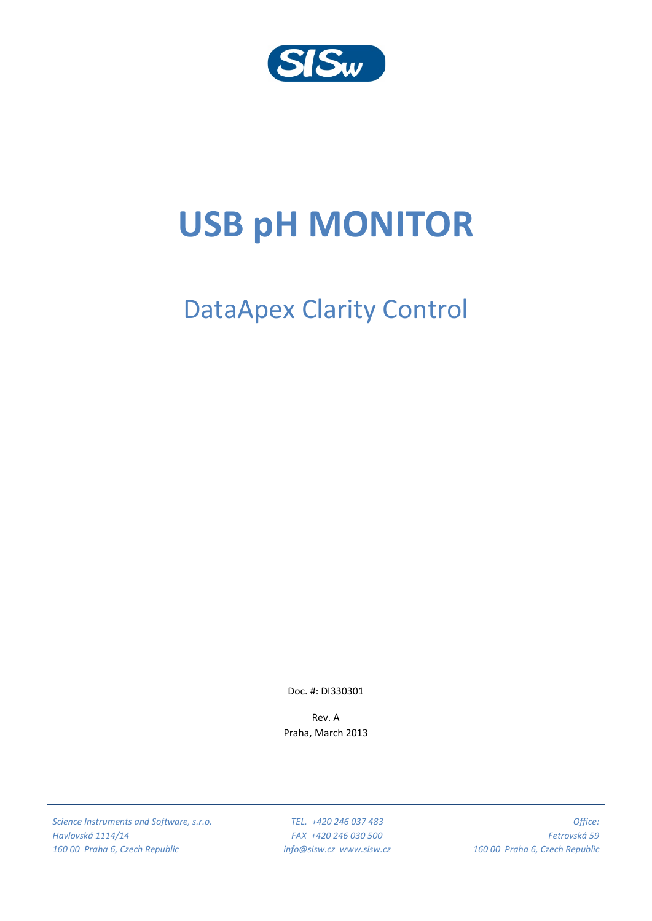

# **USB pH MONITOR**

# DataApex Clarity Control

Doc. #: DI330301

Rev. A Praha, March 2013

*Science Instruments and Software, s.r.o. Havlovská 1114/14 160 00 Praha 6, Czech Republic*

*TEL. +420 246 037 483 FAX +420 246 030 500 info@sisw.cz www.sisw.cz*

*Office: Fetrovská 59 160 00 Praha 6, Czech Republic*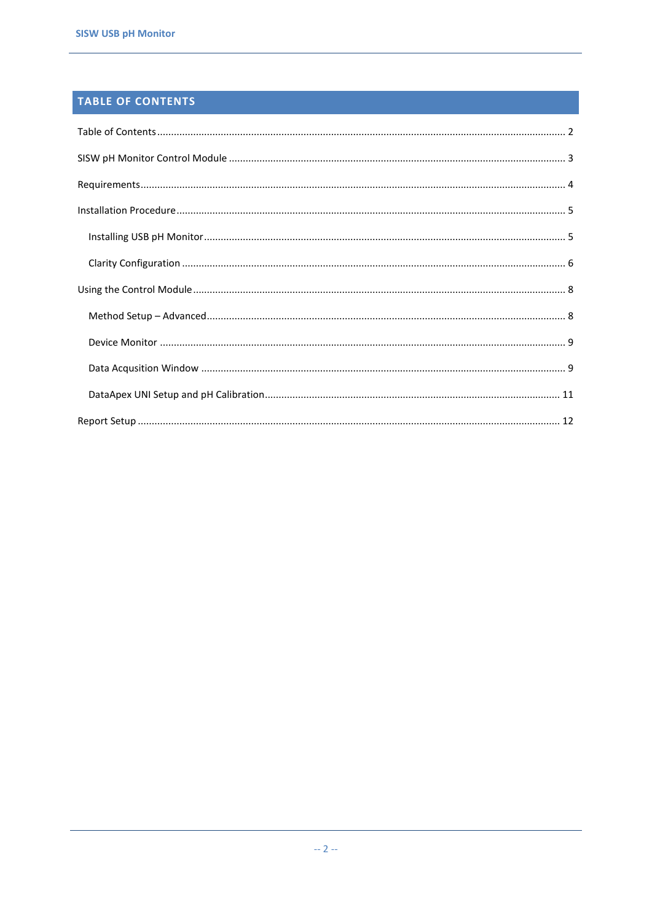## <span id="page-1-0"></span>TABLE OF CONTENTS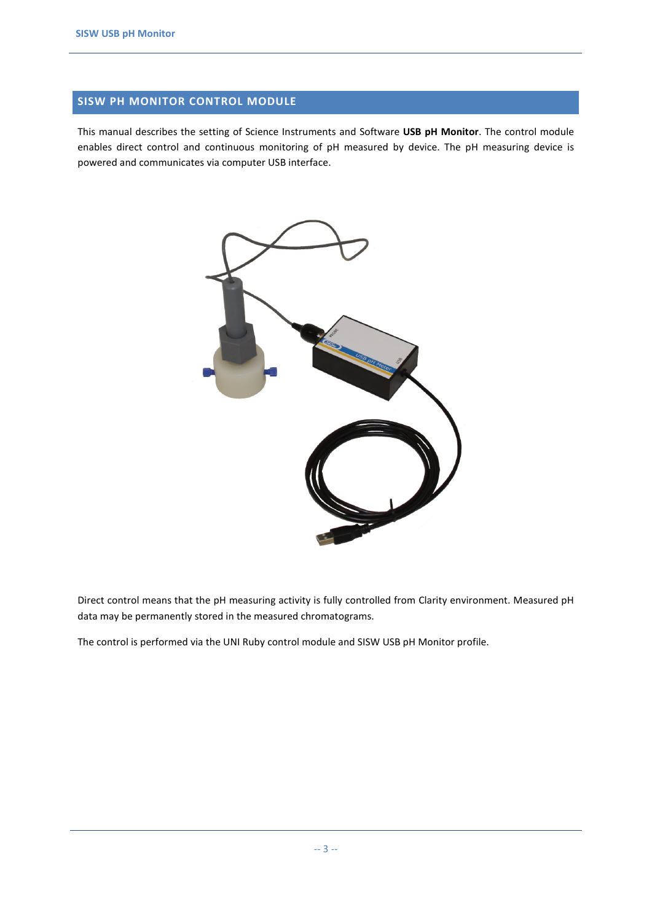### <span id="page-2-0"></span>**SISW PH MONITOR CONTROL MODULE**

This manual describes the setting of Science Instruments and Software **USB pH Monitor**. The control module enables direct control and continuous monitoring of pH measured by device. The pH measuring device is powered and communicates via computer USB interface.



Direct control means that the pH measuring activity is fully controlled from Clarity environment. Measured pH data may be permanently stored in the measured chromatograms.

The control is performed via the UNI Ruby control module and SISW USB pH Monitor profile.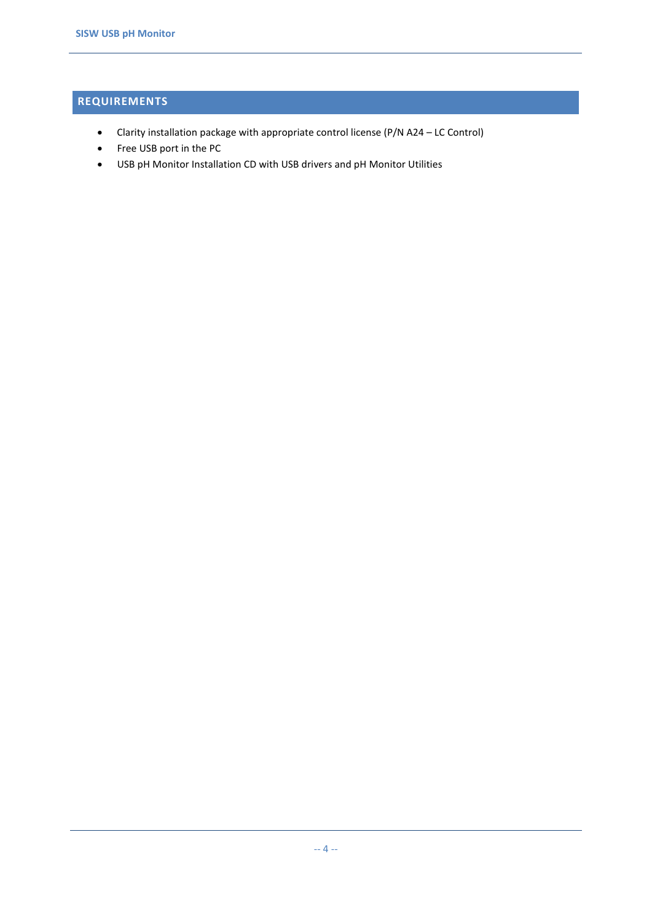# <span id="page-3-0"></span>**REQUIREMENTS**

- Clarity installation package with appropriate control license (P/N A24 LC Control)
- Free USB port in the PC
- USB pH Monitor Installation CD with USB drivers and pH Monitor Utilities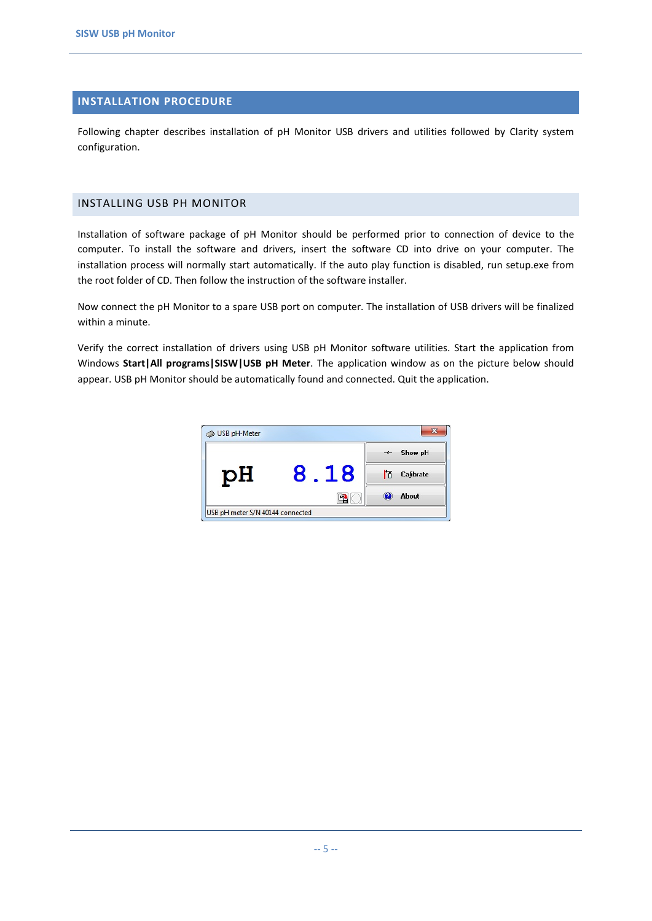#### <span id="page-4-0"></span>**INSTALLATION PROCEDURE**

Following chapter describes installation of pH Monitor USB drivers and utilities followed by Clarity system configuration.

#### <span id="page-4-1"></span>INSTALLING USB PH MONITOR

Installation of software package of pH Monitor should be performed prior to connection of device to the computer. To install the software and drivers, insert the software CD into drive on your computer. The installation process will normally start automatically. If the auto play function is disabled, run setup.exe from the root folder of CD. Then follow the instruction of the software installer.

Now connect the pH Monitor to a spare USB port on computer. The installation of USB drivers will be finalized within a minute.

Verify the correct installation of drivers using USB pH Monitor software utilities. Start the application from Windows **Start|All programs|SISW|USB pH Meter**. The application window as on the picture below should appear. USB pH Monitor should be automatically found and connected. Quit the application.

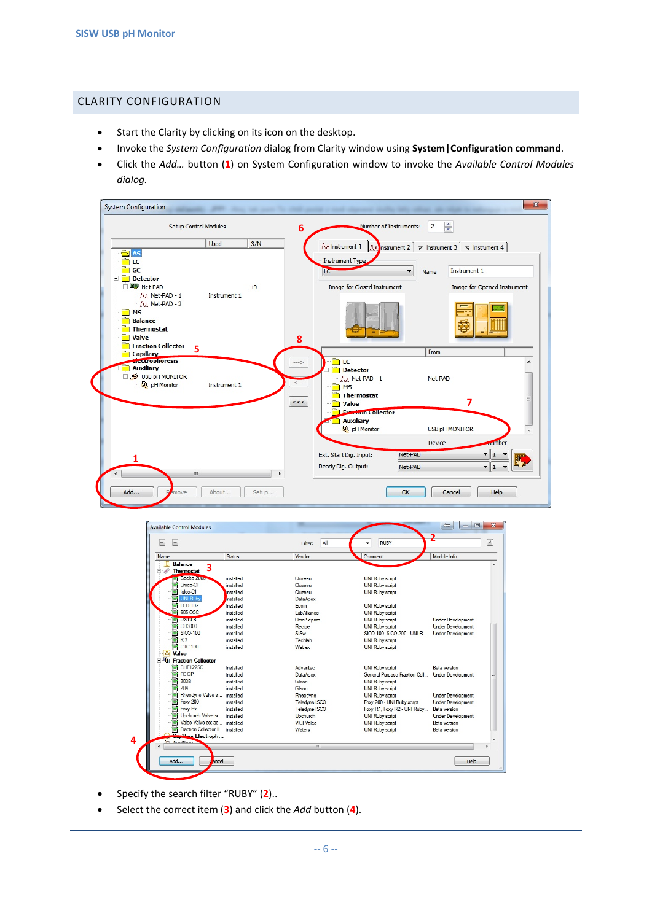#### <span id="page-5-0"></span>CLARITY CONFIGURATION

- Start the Clarity by clicking on its icon on the desktop.
- Invoke the *System Configuration* dialog from Clarity window using **System|Configuration command**.
- Click the *Add…* button (**1**) on System Configuration window to invoke the *Available Control Modules dialog.*



- UNI Rub<br>Mil LCO 102 **電話 GISO-100**<br>(時間 GISO-100<br>(Hydro China)<br>(山川 Fraction College CHE12250 UNI Ruby script<br>UNI Ruby script<br>SICO-100, SICO-200 - UNI R.. installed OmniSena **Under Develop** installed<br>installed Recipe<br>SISw Under Development<br>Under Development Techlab installed UNI Ruby script installed Watrex UNI Ruby script Fraction Colle<br>||雪石<br>||雪石<br>|雪石<br>|雪石<br>||雪石<br>|| Valco Valve<br>||雪石<br>| Valco Valve<br>||西石<br>| Traction Colle<br>|| Traction Colle installed Advanted **UNI Ruby script Beta** version Advantec<br>DataApex<br>Gilson<br>Gilson Gri Ruby script<br>General Purpose Fraction Coll..<br>UNI Ruby script<br>UNI Ruby script installed Under Development installed<br>installed<br>installed **Rheodyne Valve** installed Rheodyne **UNI Ruby script Under Development** Uni Ruby script<br>Foxy 200 - UNI Ruby script<br>Foxy R1, Foxy R2 - UNI Ruby.<br>UNI Ruby script Teledyne ISCO<br>Teledyne ISCO installed **Under Develop** Foxy Rx<br>Upchurch Valve se installed<br>installed Beta version<br>Under Devel Upchurch Valco Valve set as...<br>Fraction Collector II installed **VICI** Valco **UNI Ruby script Beta** version installed Waters **UNI Ruby scrip Reta version** ry Flectr **4**  $He$ Add.  $\overline{\phantom{a}}$  ncel
- Specify the search filter "RUBY" (**2**)..
- Select the correct item (**3**) and click the *Add* button (**4**).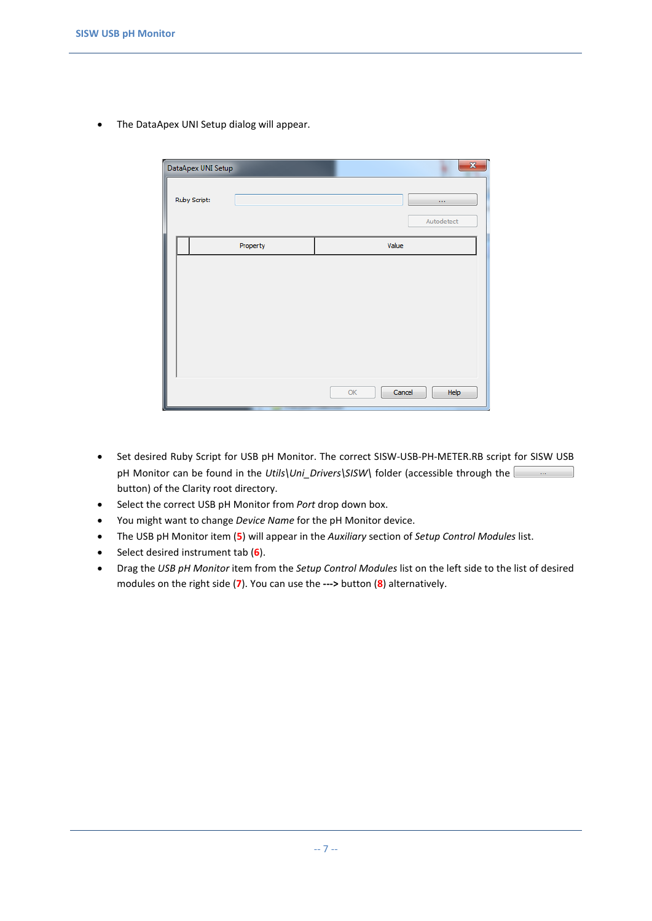• The DataApex UNI Setup dialog will appear.

|              |  | DataApex UNI Setup |          |       | $\mathbf{x}$           |
|--------------|--|--------------------|----------|-------|------------------------|
| Ruby Script: |  |                    |          |       | $\cdots$<br>Autodetect |
|              |  |                    | Property | Value |                        |
|              |  |                    |          |       |                        |
|              |  |                    |          | OK    | Cancel<br>Help         |

- Set desired Ruby Script for USB pH Monitor. The correct SISW-USB-PH-METER.RB script for SISW USB pH Monitor can be found in the *Utils\Uni\_Drivers\SISW\* folder (accessible through the button) of the Clarity root directory.
- Select the correct USB pH Monitor from *Port* drop down box.
- You might want to change *Device Name* for the pH Monitor device.
- The USB pH Monitor item (**5**) will appear in the *Auxiliary* section of *Setup Control Modules* list.
- Select desired instrument tab (**6**).
- Drag the *USB pH Monitor* item from the *Setup Control Modules* list on the left side to the list of desired modules on the right side (**7**). You can use the **--->** button (**8**) alternatively.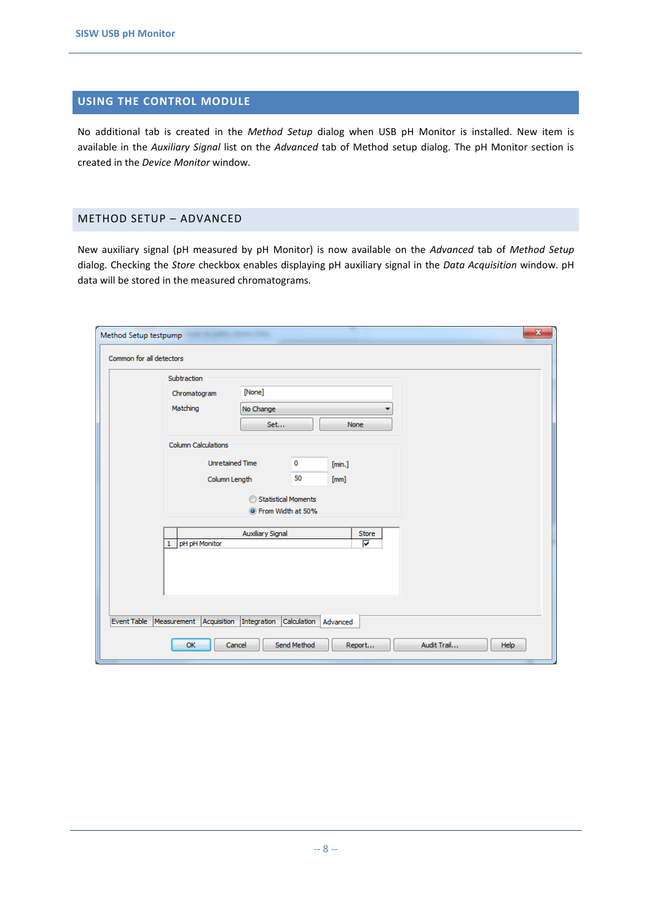#### <span id="page-7-0"></span>**USING THE CONTROL MODULE**

No additional tab is created in the *Method Setup* dialog when USB pH Monitor is installed. New item is available in the *Auxiliary Signal* list on the *Advanced* tab of Method setup dialog. The pH Monitor section is created in the *Device Monitor* window.

#### <span id="page-7-1"></span>METHOD SETUP – ADVANCED

New auxiliary signal (pH measured by pH Monitor) is now available on the *Advanced* tab of *Method Setup* dialog. Checking the *Store* checkbox enables displaying pH auxiliary signal in the *Data Acquisition* window. pH data will be stored in the measured chromatograms.

| Subtraction         |                        |          |              |  |
|---------------------|------------------------|----------|--------------|--|
| Chromatogram        | [None]                 |          |              |  |
| Matching            | No Change              |          |              |  |
|                     | Set                    |          | None         |  |
| Column Calculations |                        |          |              |  |
|                     | <b>Unretained Time</b> | $\bf{0}$ | [min.]       |  |
|                     | Column Length          | 50       | [mm]         |  |
|                     | Statistical Moments    |          |              |  |
|                     | Trom Width at 50%      |          |              |  |
|                     | Auxiliary Signal       |          | <b>Store</b> |  |
| pH pH Monitor<br>1  |                        |          | ⊽            |  |
|                     |                        |          |              |  |
|                     |                        |          |              |  |
|                     |                        |          |              |  |
|                     |                        |          |              |  |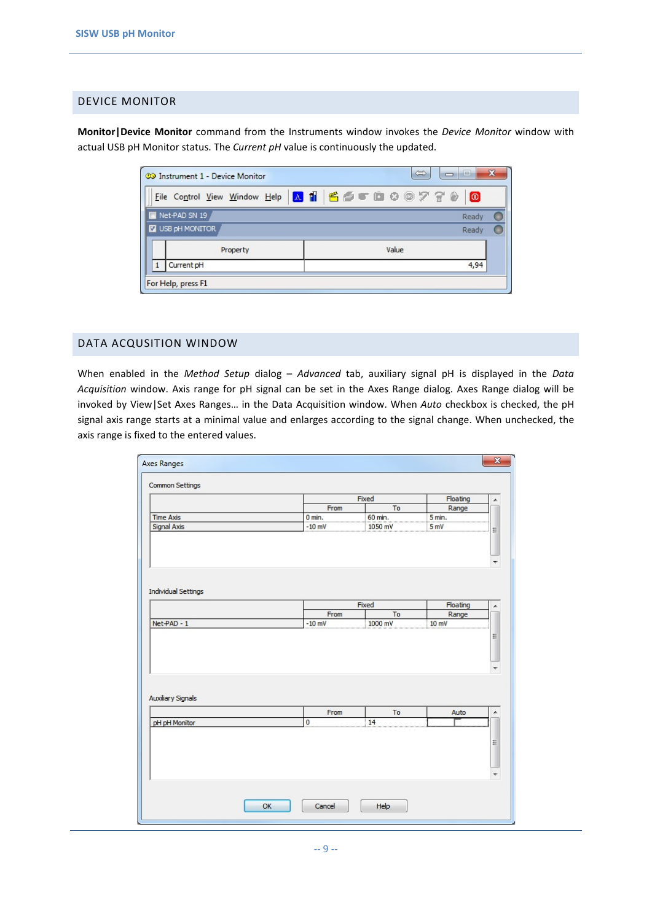#### <span id="page-8-0"></span>DEVICE MONITOR

**Monitor|Device Monitor** command from the Instruments window invokes the *Device Monitor* window with actual USB pH Monitor status. The *Current pH* value is continuously the updated.

| <b>09 Instrument 1 - Device Monitor</b> | ⇔<br>-9<br>$\Box$                                       | x |
|-----------------------------------------|---------------------------------------------------------|---|
|                                         | Eile Control View Window Help A 1   6 6 T 1 8 8 7 7 8 0 |   |
| Net-PAD SN 19                           | Ready                                                   |   |
| V USB pH MONITOR                        | Ready                                                   |   |
| Property                                | Value                                                   |   |
| Current pH                              | 4,94                                                    |   |
| For Help, press F1                      |                                                         |   |

#### <span id="page-8-1"></span>DATA ACQUSITION WINDOW

When enabled in the *Method Setup* dialog – *Advanced* tab, auxiliary signal pH is displayed in the *Data Acquisition* window. Axis range for pH signal can be set in the Axes Range dialog. Axes Range dialog will be invoked by View|Set Axes Ranges… in the Data Acquisition window. When *Auto* checkbox is checked, the pH signal axis range starts at a minimal value and enlarges according to the signal change. When unchecked, the axis range is fixed to the entered values.

|                                                          |                  | Fixed         | Floating       |
|----------------------------------------------------------|------------------|---------------|----------------|
|                                                          | From             | To            | Range          |
| <b>Time Axis</b>                                         | $0$ min.         | 60 min.       | 5 min.         |
| Signal Axis                                              | $-10$ mV         | 1050 mV       | 5mV            |
| <b>Individual Settings</b>                               |                  |               |                |
|                                                          |                  |               |                |
|                                                          |                  | Fixed         | Floating       |
|                                                          | From<br>$-10$ mV | To<br>1000 mV | Range<br>10 mV |
|                                                          |                  |               |                |
|                                                          |                  | To            |                |
| Net-PAD - 1<br><b>Auxiliary Signals</b><br>pH pH Monitor | From<br>$\bf{0}$ | 14            | Auto           |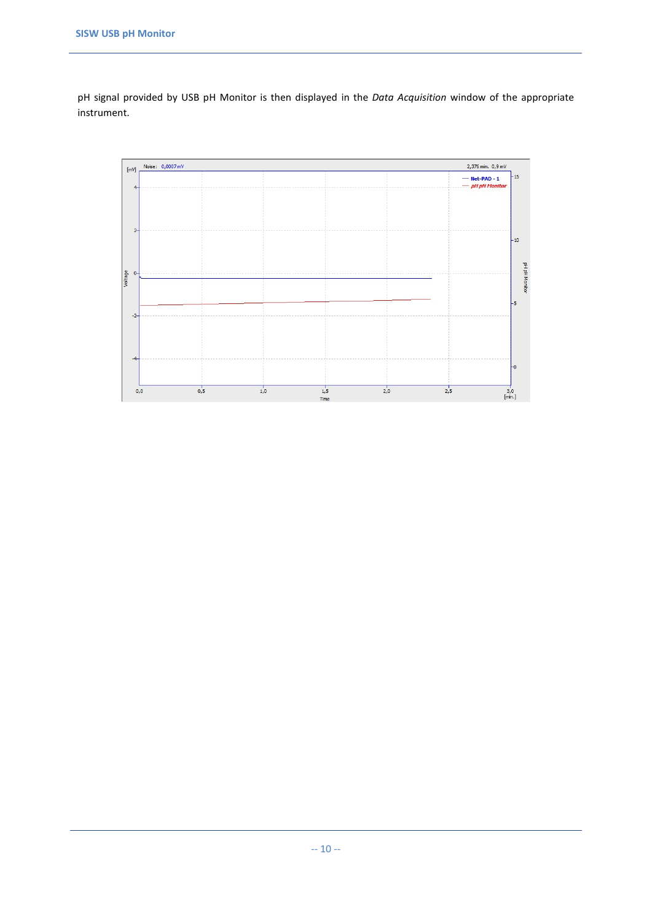pH signal provided by USB pH Monitor is then displayed in the *Data Acquisition* window of the appropriate instrument.

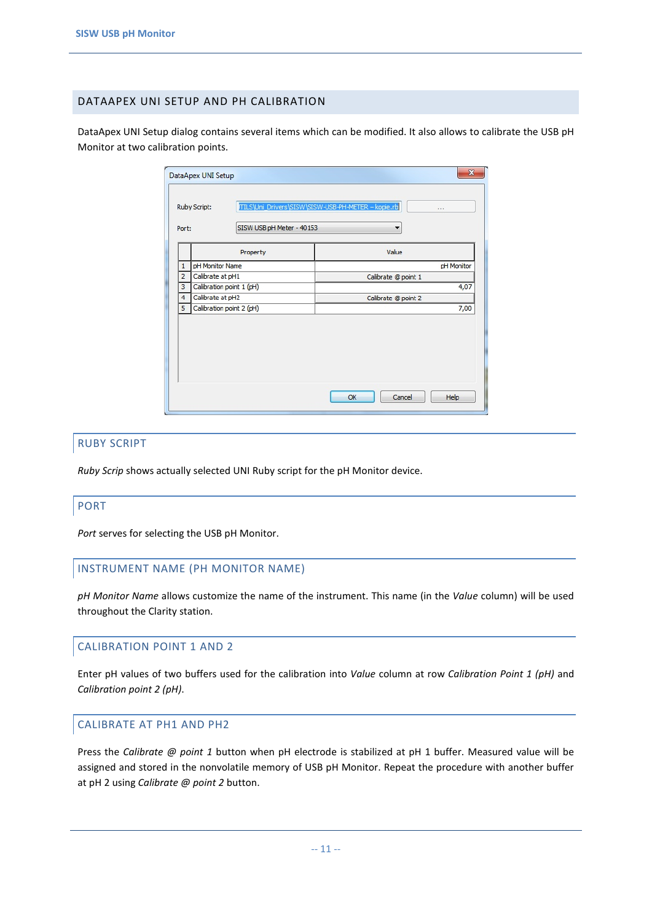#### <span id="page-10-0"></span>DATAAPEX UNI SETUP AND PH CALIBRATION

DataApex UNI Setup dialog contains several items which can be modified. It also allows to calibrate the USB pH Monitor at two calibration points.

|  |                | DataApex UNI Setup                        | $\mathbf{x}$                                                    |
|--|----------------|-------------------------------------------|-----------------------------------------------------------------|
|  | Port:          | Ruby Script:<br>SISW USB pH Meter - 40153 | ITILS\Uni_Drivers\SISW\SISW-USB-PH-METER - kopie.rb<br>111<br>▼ |
|  |                | Property                                  | Value                                                           |
|  | 1              | pH Monitor Name                           | pH Monitor                                                      |
|  | $\overline{2}$ | Calibrate at pH1                          | Calibrate @ point 1                                             |
|  | 3              | Calibration point 1 (pH)                  | 4,07                                                            |
|  | 4              | Calibrate at pH2                          | Calibrate @ point 2                                             |
|  | 5              | Calibration point 2 (pH)                  | 7,00                                                            |
|  |                |                                           | Cancel<br>OK<br>Help                                            |

#### RUBY SCRIPT

*Ruby Scrip* shows actually selected UNI Ruby script for the pH Monitor device.

#### PORT

*Port* serves for selecting the USB pH Monitor.

#### INSTRUMENT NAME (PH MONITOR NAME)

*pH Monitor Name* allows customize the name of the instrument. This name (in the *Value* column) will be used throughout the Clarity station.

#### CALIBRATION POINT 1 AND 2

Enter pH values of two buffers used for the calibration into *Value* column at row *Calibration Point 1 (pH)* and *Calibration point 2 (pH)*.

#### CALIBRATE AT PH1 AND PH2

Press the *Calibrate @ point 1* button when pH electrode is stabilized at pH 1 buffer. Measured value will be assigned and stored in the nonvolatile memory of USB pH Monitor. Repeat the procedure with another buffer at pH 2 using *Calibrate @ point 2* button.